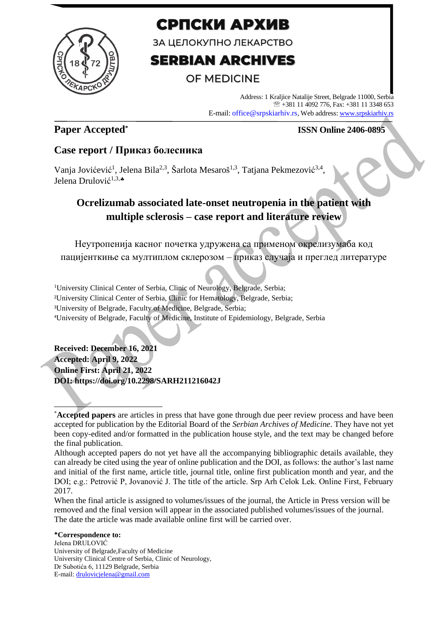

# СРПСКИ АРХИВ

ЗА ЦЕЛОКУПНО ЛЕКАРСТВО

# **SERBIAN ARCHIVES**

# **OF MEDICINE**

Address: 1 Kraljice Natalije Street, Belgrade 11000, Serbia +381 11 4092 776, Fax: +381 11 3348 653 E-mail: office@srpskiarhiv.rs, Web address[: www.srpskiarhiv.rs](http://www.srpskiarhiv.rs/)

## **Paper Accepted\***

### **ISSN Online 2406-0895**

### **Case report / Приказ болесника**

Vanja Jovićević<sup>1</sup>, Jelena Bila<sup>2,3</sup>, Šarlota Mesaroš<sup>1,3</sup>, Tatjana Pekmezović<sup>3,4</sup>, Jelena Drulović<sup>1,3,</sup>\*

# **Ocrelizumab associated late-onset neutropenia in the patient with multiple sclerosis – case report and literature review**

Неутропенија касног почетка удружена са применом окрелизумаба код пацијенткиње са мултиплом склерозом – приказ случаја и преглед литературе

<sup>1</sup>University Clinical Center of Serbia, Clinic of Neurology, Belgrade, Serbia; ²University Clinical Center of Serbia, Clinic for Hematology, Belgrade, Serbia; ³University of Belgrade, Faculty of Medicine, Belgrade, Serbia; ⁴University of Belgrade, Faculty of Medicine, Institute of Epidemiology, Belgrade, Serbia

**Received: December 16, 2021 Accepted: April 9, 2022 Online First: April 21, 2022 DOI: https://doi.org/10.2298/SARH211216042J**

When the final article is assigned to volumes/issues of the journal, the Article in Press version will be removed and the final version will appear in the associated published volumes/issues of the journal. The date the article was made available online first will be carried over.

**Correspondence to:** Jelena DRULOVIĆ University of Belgrade,Faculty of Medicine University Clinical Centre of Serbia, Clinic of Neurology, Dr Subotića 6, 11129 Belgrade, Serbia E-mail: [drulovicjelena@gmail.com](mailto:drulovicjelena@gmail.com)

<sup>\*</sup>**Accepted papers** are articles in press that have gone through due peer review process and have been accepted for publication by the Editorial Board of the *Serbian Archives of Medicine*. They have not yet been copy-edited and/or formatted in the publication house style, and the text may be changed before the final publication.

Although accepted papers do not yet have all the accompanying bibliographic details available, they can already be cited using the year of online publication and the DOI, as follows: the author's last name and initial of the first name, article title, journal title, online first publication month and year, and the DOI; e.g.: Petrović P, Jovanović J. The title of the article. Srp Arh Celok Lek. Online First, February 2017.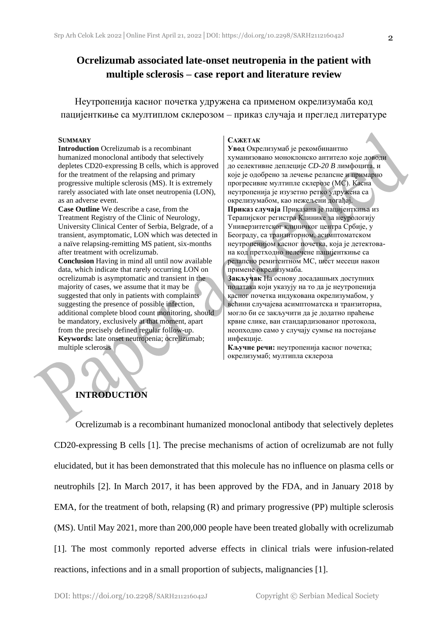Неутропенија касног почетка удружена са применом окрелизумаба код пацијенткиње са мултиплом склерозом – приказ случаја и преглед литературе

#### **SUMMARY**

**Introduction** Ocrelizumab is a recombinant humanized monoclonal antibody that selectively depletes CD20-expressing B cells, which is approved for the treatment of the relapsing and primary progressive multiple sclerosis (MS). It is extremely rarely associated with late onset neutropenia (LON), as an adverse event.

**Case Outline** We describe a case, from the Treatment Registry of the Clinic of Neurology, University Clinical Center of Serbia, Belgrade, of a transient, asymptomatic, LON which was detected in a naïve relapsing-remitting MS patient, six-months after treatment with ocrelizumab.

**Conclusion** Having in mind all until now available data, which indicate that rarely occurring LON on ocrelizumab is asymptomatic and transient in the majority of cases, we assume that it may be suggested that only in patients with complaints suggesting the presence of possible infection, additional complete blood count monitoring, should be mandatory, exclusively at that moment, apart from the precisely defined regular follow-up. **Keywords:** late onset neutropenia; ocrelizumab; multiple sclerosis

#### **САЖЕТАК**

**Увод** Окрелизумаб је рекомбинантно хуманизовано моноклонско антитело које доводи до селективне деплеције *CD-20 B* лимфоцита, и које је одобрено за лечење релапсне и примарно прогресивне мултипле склерозе (МС). Касна неутропенија је изузетно ретко удружена са окрелизумабом, као нежељени догађај. **Приказ случаја** Приказана је пацијенткиња из Терапијског регистра Клинике за неурологију Универзитетског клиничког центра Србије, у Београду, са транзиторном, асимптоматском неутропенијом касног почетка, која је детектована код претходно нелечене пацијенткиње са релапсно ремитентном МС, шест месеци након примене окрелизумаба.

**Закључак** На основу досадашњих доступних података који указују на то да је неутропенија касног почетка индукована окрелизумабом, у већини случајева асимптоматска и транзиторна, могло би се закључити да је додатно праћење крвне слике, ван стандардизованог протокола, неопходно само у случају сумње на постојање инфекције.

**Кључне речи:** неутропенија касног почетка; окрелизумаб; мултипла склероза

### **INTRODUCTION**

Ocrelizumab is a recombinant humanized monoclonal antibody that selectively depletes CD20-expressing B cells [1]. The precise mechanisms of action of ocrelizumab are not fully elucidated, but it has been demonstrated that this molecule has no influence on plasma cells or neutrophils [2]. In March 2017, it has been approved by the FDA, and in January 2018 by EMA, for the treatment of both, relapsing (R) and primary progressive (PP) multiple sclerosis (MS). Until May 2021, more than 200,000 people have been treated globally with ocrelizumab [1]. The most commonly reported adverse effects in clinical trials were infusion-related reactions, infections and in a small proportion of subjects, malignancies [1].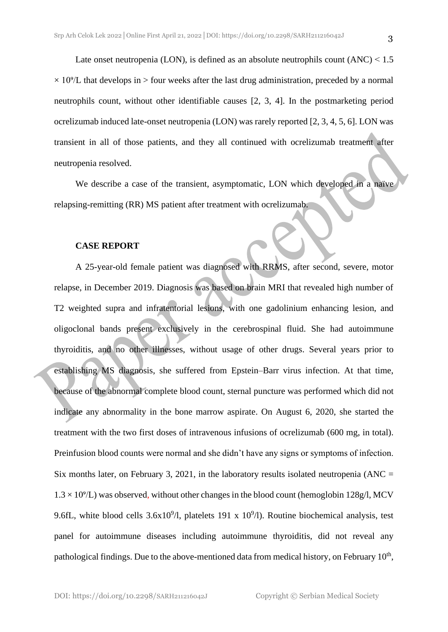Late onset neutropenia (LON), is defined as an absolute neutrophils count  $(ANC) < 1.5$  $\times$  10<sup>9</sup>/L that develops in  $>$  four weeks after the last drug administration, preceded by a normal neutrophils count, without other identifiable causes [2, 3, 4]. In the postmarketing period ocrelizumab induced late-onset neutropenia (LON) was rarely reported [2, 3, 4, 5, 6]. LON was transient in all of those patients, and they all continued with ocrelizumab treatment after neutropenia resolved.

We describe a case of the transient, asymptomatic, LON which developed in a naïve relapsing-remitting (RR) MS patient after treatment with ocrelizumab.

#### **CASE REPORT**

A 25-year-old female patient was diagnosed with RRMS, after second, severe, motor relapse, in December 2019. Diagnosis was based on brain MRI that revealed high number of T2 weighted supra and infratentorial lesions, with one gadolinium enhancing lesion, and oligoclonal bands present exclusively in the cerebrospinal fluid. She had autoimmune thyroiditis, and no other illnesses, without usage of other drugs. Several years prior to establishing MS diagnosis, she suffered from Epstein–Barr virus infection. At that time, because of the abnormal complete blood count, sternal puncture was performed which did not indicate any abnormality in the bone marrow aspirate. On August 6, 2020, she started the treatment with the two first doses of intravenous infusions of ocrelizumab (600 mg, in total). Preinfusion blood counts were normal and she didn't have any signs or symptoms of infection. Six months later, on February 3, 2021, in the laboratory results isolated neutropenia ( $\text{ANC} =$  $1.3 \times 10^{9}$ /L) was observed, without other changes in the blood count (hemoglobin 128g/l, MCV 9.6fL, white blood cells  $3.6x10^{9}/l$ , platelets 191 x  $10^{9}/l$ ). Routine biochemical analysis, test panel for autoimmune diseases including autoimmune thyroiditis, did not reveal any pathological findings. Due to the above-mentioned data from medical history, on February 10<sup>th</sup>,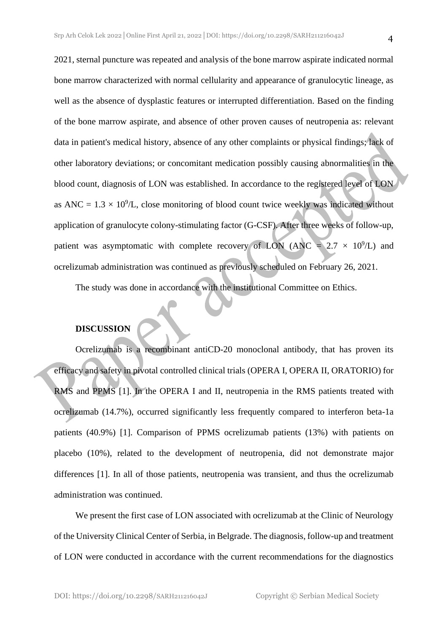2021, sternal puncture was repeated and analysis of the bone marrow aspirate indicated normal bone marrow characterized with normal cellularity and appearance of granulocytic lineage, as well as the absence of dysplastic features or interrupted differentiation. Based on the finding of the bone marrow aspirate, and absence of other proven causes of neutropenia as: relevant data in patient's medical history, absence of any other complaints or physical findings; lack of other laboratory deviations; or concomitant medication possibly causing abnormalities in the blood count, diagnosis of LON was established. In accordance to the registered level of LON as ANC =  $1.3 \times 10^9$ /L, close monitoring of blood count twice weekly was indicated without application of granulocyte colony-stimulating factor (G-CSF). After three weeks of follow-up, patient was asymptomatic with complete recovery of LON (ANC =  $2.7 \times 10^9$ /L) and ocrelizumab administration was continued as previously scheduled on February 26, 2021.

The study was done in accordance with the institutional Committee on Ethics.

### **DISCUSSION**

Ocrelizumab is a recombinant antiCD-20 monoclonal antibody, that has proven its efficacy and safety in pivotal controlled clinical trials (OPERA I, OPERA II, ORATORIO) for RMS and PPMS [1]. In the OPERA I and II, neutropenia in the RMS patients treated with ocrelizumab (14.7%), occurred significantly less frequently compared to interferon beta-1a patients (40.9%) [1]. Comparison of PPMS ocrelizumab patients (13%) with patients on placebo (10%), related to the development of neutropenia, did not demonstrate major differences [1]. In all of those patients, neutropenia was transient, and thus the ocrelizumab administration was continued.

We present the first case of LON associated with ocrelizumab at the Clinic of Neurology of the University Clinical Center of Serbia, in Belgrade. The diagnosis, follow-up and treatment of LON were conducted in accordance with the current recommendations for the diagnostics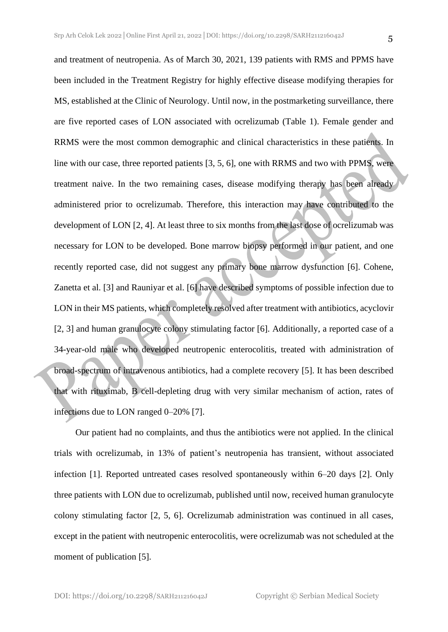and treatment of neutropenia. As of March 30, 2021, 139 patients with RMS and PPMS have been included in the Treatment Registry for highly effective disease modifying therapies for MS, established at the Clinic of Neurology. Until now, in the postmarketing surveillance, there are five reported cases of LON associated with ocrelizumab (Table 1). Female gender and RRMS were the most common demographic and clinical characteristics in these patients. In line with our case, three reported patients [3, 5, 6], one with RRMS and two with PPMS, were treatment naive. In the two remaining cases, disease modifying therapy has been already administered prior to ocrelizumab. Therefore, this interaction may have contributed to the development of LON [2, 4]. At least three to six months from the last dose of ocrelizumab was necessary for LON to be developed. Bone marrow biopsy performed in our patient, and one recently reported case, did not suggest any primary bone marrow dysfunction [6]. Cohene, Zanetta et al. [3] and Rauniyar et al. [6] have described symptoms of possible infection due to LON in their MS patients, which completely resolved after treatment with antibiotics, acyclovir [2, 3] and human granulocyte colony stimulating factor [6]. Additionally, a reported case of a 34-year-old male who developed neutropenic enterocolitis, treated with administration of broad-spectrum of intravenous antibiotics, had a complete recovery [5]. It has been described that with rituximab, B cell-depleting drug with very similar mechanism of action, rates of infections due to LON ranged 0–20% [7].

Our patient had no complaints, and thus the antibiotics were not applied. In the clinical trials with ocrelizumab, in 13% of patient's neutropenia has transient, without associated infection [1]. Reported untreated cases resolved spontaneously within 6–20 days [2]. Only three patients with LON due to ocrelizumab, published until now, received human granulocyte colony stimulating factor [2, 5, 6]. Ocrelizumab administration was continued in all cases, except in the patient with neutropenic enterocolitis, were ocrelizumab was not scheduled at the moment of publication [5].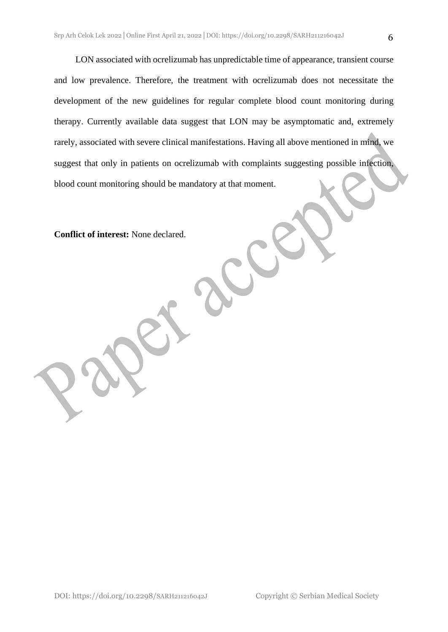LON associated with ocrelizumab has unpredictable time of appearance, transient course and low prevalence. Therefore, the treatment with ocrelizumab does not necessitate the development of the new guidelines for regular complete blood count monitoring during therapy. Currently available data suggest that LON may be asymptomatic and, extremely rarely, associated with severe clinical manifestations. Having all above mentioned in mind, we suggest that only in patients on ocrelizumab with complaints suggesting possible infection, blood count monitoring should be mandatory at that moment.

**Conflict of interest:** None declared.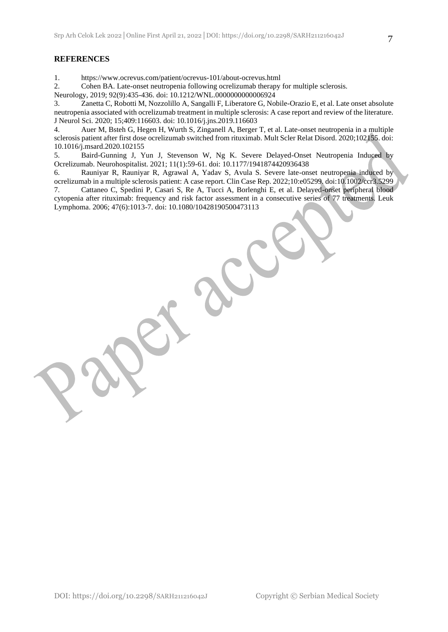#### **REFERENCES**

1. https://www.ocrevus.com/patient/ocrevus-101/about-ocrevus.html

2. Cohen BA. Late-onset neutropenia following ocrelizumab therapy for multiple sclerosis.

Neurology, 2019; 92(9):435-436. doi: 10.1212/WNL.0000000000006924

3. Zanetta C, Robotti M, Nozzolillo A, Sangalli F, Liberatore G, Nobile-Orazio E, et al. Late onset absolute neutropenia associated with ocrelizumab treatment in multiple sclerosis: A case report and review of the literature. J Neurol Sci. 2020; 15;409:116603. doi: 10.1016/j.jns.2019.116603

4. Auer M, Bsteh G, Hegen H, Wurth S, Zinganell A, Berger T, et al. Late-onset neutropenia in a multiple sclerosis patient after first dose ocrelizumab switched from rituximab. Mult Scler Relat Disord. 2020;102155. doi: 10.1016/j.msard.2020.102155

5. Baird-Gunning J, Yun J, Stevenson W, Ng K. Severe Delayed-Onset Neutropenia Induced by Ocrelizumab. Neurohospitalist. 2021; 11(1):59-61. doi: 10.1177/1941874420936438

6. Rauniyar R, Rauniyar R, Agrawal A, Yadav S, Avula S. Severe late-onset neutropenia induced by ocrelizumab in a multiple sclerosis patient: A case report. Clin Case Rep. 2022;10:e05299. doi:10.1002/ccr3.5299 7. Cattaneo C, Spedini P, Casari S, Re A, Tucci A, Borlenghi E, et al. Delayed-onset peripheral blood cytopenia after rituximab: frequency and risk factor assessment in a consecutive series of 77 treatments. Leuk Lymphoma. 2006; 47(6):1013-7. doi: 10.1080/10428190500473113